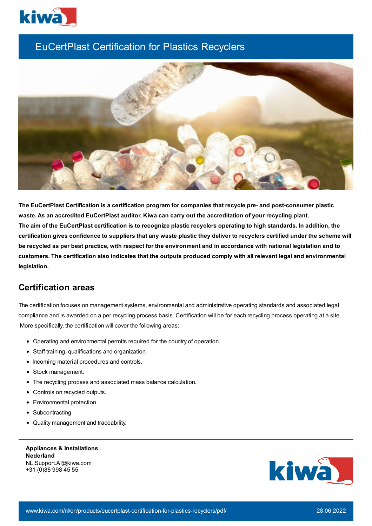

## EuCertPlast Certification for Plastics Recyclers



**The EuCertPlast Certification is a certification program for companies that recycle pre- and post-consumer plastic waste. As an accredited EuCertPlast auditor, Kiwa can carry out the accreditation of your recycling plant.** The aim of the EuCertPlast certification is to recognize plastic recyclers operating to high standards. In addition, the certification gives confidence to suppliers that any waste plastic they deliver to recyclers certified under the scheme will be recycled as per best practice, with respect for the environment and in accordance with national legislation and to customers. The certification also indicates that the outputs produced comply with all relevant legal and environmental **legislation.**

## **Certification areas**

The certification focuses on management systems, environmental and administrative operating standards and associated legal compliance and is awarded on a per recycling process basis. Certification will be for each recycling process operating at a site. More specifically, the certification will cover the following areas:

- Operating and environmental permits required for the country of operation.
- Staff training, qualifications and organization.
- Incoming material procedures and controls.
- Stock management.
- The recycling process and associated mass balance calculation.
- Controls on recycled outputs.
- Environmental protection.
- Subcontracting.
- Quality management and traceability.

**Appliances & Installations Nederland** NL.Support.AI@kiwa.com +31 (0)88 998 45 55